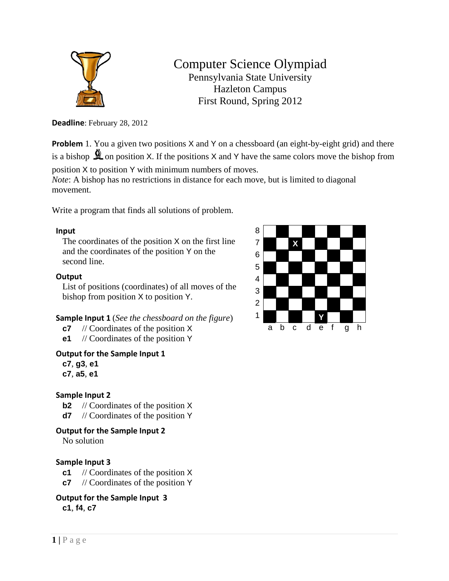

# Computer Science Olympiad Pennsylvania State University Hazleton Campus First Round, Spring 2012

**Deadline**: February 28, 2012

**Problem** 1. You a given two positions X and Y on a chessboard (an eight-by-eight grid) and there is a bishop  $\triangle$  on position X. If the positions X and Y have the same colors move the bishop from

position X to position Y with minimum numbers of moves.

*Note*: A bishop has no restrictions in distance for each move, but is limited to diagonal movement.

Write a program that finds all solutions of problem.

### **Input**

The coordinates of the position X on the first line and the coordinates of the position Y on the second line.

### **Output**

List of positions (coordinates) of all moves of the bishop from position X to position Y.

**Sample Input 1** (*See the chessboard on the figure*)

- **c7** // Coordinates of the position X
- **e1** // Coordinates of the position Y
- **Output for the Sample Input 1**

**c7**, **g3**, **e1 c7**, **a5**, **e1**

### **Sample Input 2**

**b2** // Coordinates of the position X

**d7** // Coordinates of the position Y

### **Output for the Sample Input 2**

No solution

### **Sample Input 3**

- **c1** // Coordinates of the position X
- **c7** // Coordinates of the position Y

**Output for the Sample Input 3 c1**, **f4**, **c7**